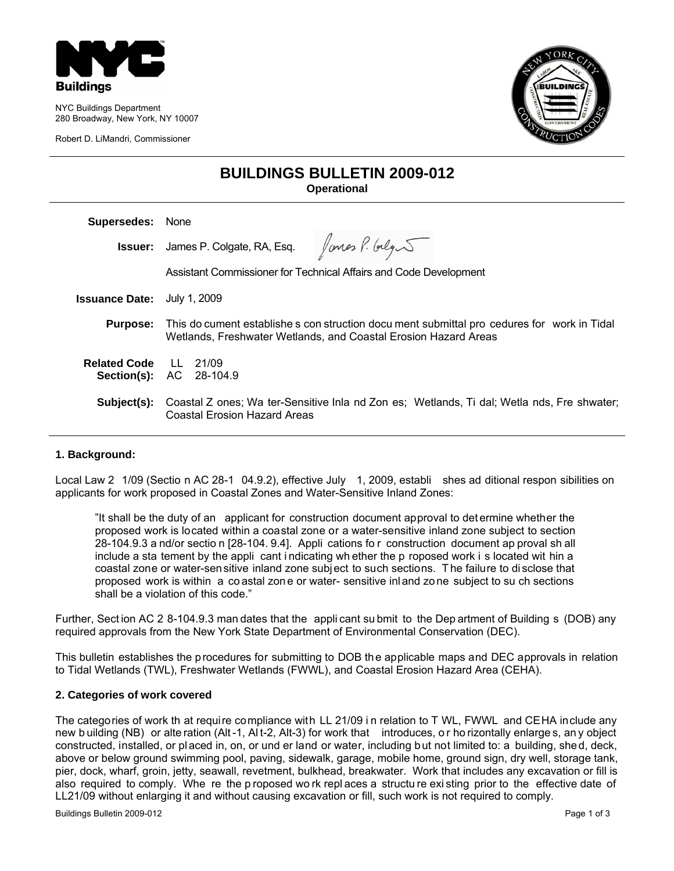

NYC Buildings Department 280 Broadway, New York, NY 10007

Robert D. LiMandri, Commissioner



## **BUILDINGS BULLETIN 2009-012 Operational**

| None                                                                                                                                                           |
|----------------------------------------------------------------------------------------------------------------------------------------------------------------|
| <b>Issuer:</b> James P. Colgate, RA, Esq. $\int$ ones $\int$ . $\int$ olg                                                                                      |
| Assistant Commissioner for Technical Affairs and Code Development                                                                                              |
| July 1, 2009                                                                                                                                                   |
| This do cument establishe s con struction docu ment submittal pro cedures for work in Tidal<br>Wetlands, Freshwater Wetlands, and Coastal Erosion Hazard Areas |
| <b>Related Code</b> LL 21/09<br><b>Section(s): AC 28-104.9</b>                                                                                                 |
| Coastal Z ones: Wa ter-Sensitive Inla nd Zon es: Wetlands. Ti dal: Wetla nds. Fre shwater:<br>Coastal Erosion Hazard Areas                                     |
|                                                                                                                                                                |

### **1. Background:**

Local Law 2 1/09 (Sectio n AC 28-1 04.9.2), effective July 1, 2009, establi shes ad ditional respon sibilities on applicants for work proposed in Coastal Zones and Water-Sensitive Inland Zones:

"It shall be the duty of an applicant for construction document approval to det ermine whether the proposed work is located within a coastal zone or a water-sensitive inland zone subject to section 28-104.9.3 a nd/or sectio n [28-104. 9.4]. Appli cations fo r construction document ap proval sh all include a sta tement by the appli cant i ndicating wh ether the p roposed work i s located wit hin a coastal zone or water-sensitive inland zone subject to such sections. T he failure to di sclose that proposed work is within a co astal zon e or water- sensitive inl and zo ne subject to su ch sections shall be a violation of this code."

Further, Sect ion AC 2 8-104.9.3 man dates that the appli cant su bmit to the Dep artment of Building s (DOB) any required approvals from the New York State Department of Environmental Conservation (DEC).

This bulletin establishes the procedures for submitting to DOB the applicable maps and DEC approvals in relation to Tidal Wetlands (TWL), Freshwater Wetlands (FWWL), and Coastal Erosion Hazard Area (CEHA).

#### **2. Categories of work covered**

The categories of work th at require compliance with LL 21/09 i n relation to T WL, FWWL and CEHA include any new b uilding (NB) or alte ration (Alt -1, Al t-2, Alt-3) for work that introduces, o r ho rizontally enlarge s, an y object constructed, installed, or placed in, on, or und er land or water, including but not limited to: a building, shed, deck, above or below ground swimming pool, paving, sidewalk, garage, mobile home, ground sign, dry well, storage tank, pier, dock, wharf, groin, jetty, seawall, revetment, bulkhead, breakwater. Work that includes any excavation or fill is also required to comply. Whe re the p roposed wo rk repl aces a structu re exi sting prior to the effective date of LL21/09 without enlarging it and without causing excavation or fill, such work is not required to comply.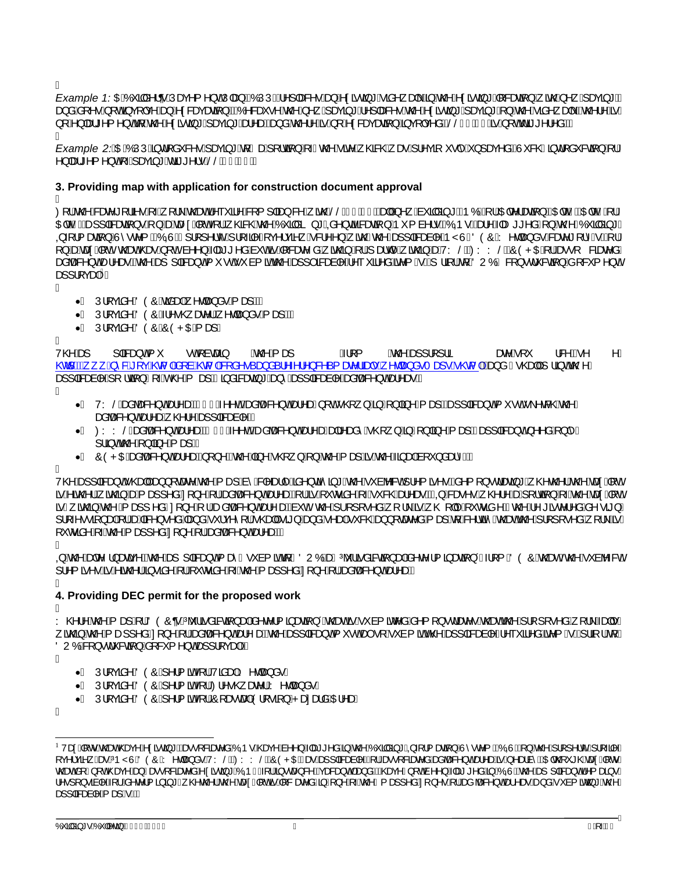Á

Example 1:0540 ãå^¦q ÁJæç^{^}oÁJ|æ}ÁGÓÚÚDÁ^]|æ&^•Áæ}Á^¢ãœ}\*Áãå^¸æ{Á§Áo@Á^¢ãœ}\*Á[&æaā]}Á¸ão@Á^¸Ájæçã}\*ÉÀ æ)åÅä[^●Á[oAãç[lç^Áæ}Áv¢&æ⊕ææã]}BÁKÓ^&æ`●^Áv@^Á,^ Á;æ⊕ã}\*Á^]|æ&^●Áv@^Ávçãoã}\*Á{æ⊕ã}\*Á{}Áv@^Ánãå^ aa∖BÁv@^¦^ÁæiÁ }[A^}|æ}\*^{^}oAn{Áo@Á^cãroã\*Álæcã\*Áæ}^a#ba}åÁo@¦^ÁãnÁl[Á^c&æcænã}Áãic[|c^åÉAŠŠGFBEJÁãnÁl[oAdã\*^¦^åÈÀA

Example 2.Á0EÁÓÚÚÁ§id[åˇ&^•Ájæçã\*Áq{ÁæÁj[¦cã]}Áj-Ác@∧Áãz^Á,@&&@Á;æ∙Áj¦^çã, ˇ•|ˆÁ}]æç^åBÂÙ č&@Áãjd[åˇ&cã]}Áj¦Á  $\wedge$   $\ket{ab^*}$   $\wedge$   $\wedge$   $\phi$   $\wedge$   $\wedge$   $\gg$   $a^*$   $\wedge$   $\gg$   $a^*$   $\wedge$   $\sim$   $a^*$   $a^*$   $a^*$ 

### 3. Providing map with application for construction document approval

Á

Q'{Ác@Asaze^\*[¦ã^^Á Á [¦\Ác@zeÁ^~`\*ã^AS{{]|ãzo}&^Á ãc@AŠŠÁCFEEUE azqlÁ ^, Áa`ãåã \*ÁCPÓDA\ACHc^¦azã[}ACHcHEACHcHCA}|A O FICH DISECTED A SACARA CHIÁ COROÁCO ÁO JA A A CARACA JÁ ( a 1 - Á CO - DISA A A - 1 - Á 1 ] A CA A JÁ CA A J Q + {{ asaq} AU \* e^{ ACOQUEA] {[]^ ic A {[ -a]^A c^ ica^ A & ^ ^ } A acoAco2 A ca}] |aBaca |^ A Y UAÖÒÔA ^ daa a \* Asae^ \* [ i^ G DA : A [}ĀnakaneoĀ[cáo@eno<sup>r</sup>@en[6][cáā^^}Álæt\*^åÁna`cÁna^{{@ene^åÁ}ãno@}Á{¦Á}ælq^Á}ãno@}ÁnakVYŠÉKOOYYŠÉKŐOPOEÁ{¦Áne∙[ &ãnae^åÁ<br>ænahæn&^}cÁne}^æeÉks@Áne}]|ākæ}cÁ{ `•cÁ\* à{ãnks@Áne}]|ākænà|^Á^~ `ā^åÁne^{ GOÁ}¦ā{¦Áq{ÄOUÓÁ&[}•c}`&qã æ}]¦[çæ∜KÁ

- A
	- •Á Úlícãn^ÁÖÒÔÁããækÁ,^dæ}å•Á{æ}ÁÁÁ
	- •Á Ú¦[çãn^ÁÖÒÔÁ⊹^•@æ^¦Á,^dæ}å•Á{æ}ÁÁÁ
	- ∙Á Ú¦ícãå^ÁÖÒÔÁÔÒPOEÁ∖æ}Á

Á

 $V@A$  $|$   $|$   $\frac{3}{2}$   $\frac{3}{2}$   $\frac{3}{4}$   $\frac{3}{4}$ æ^Ál` ۸Á  $\bullet$  of  $\mathring{a}$  cases  $\mathcal{A} \mathcal{A}$  as  $\mathsf{A}$   $\{$  $A\otimes A$ a} | | | | | ã  $18 \sqrt{6}$ **God KED** 日 ^ & 白 CEO 정 Hall à EO 정 Hall å^• ´ an) å ´ ¦^ ^ ¦ ^ } & ' { ane^¦ãnd + Đ ^ dan) å • T an} • E O अ | DÁna) å Á • ④ and Á ¦ ā o ko ④ ^ Á aa}||a3aaà|^Á|¦dã}Á| √ac @^Á aa}ÉÀa}åa3aaaa}\*Áaa}^Áaaa||a3aaaà|^Áaaà|baa&^}o/aaa'^aa•KÁ A

- •Á VYŠÁnaåbæ&Y}oÁæt^ækÁFÍ€ÁA^oÁQæåbæ&Y}oÁæt^æól}[oÁ∙@}}Á§}Á[}|ãj^Á{æ]LÁæ]]|ā&æ}oÁ{ \* •oÁ∙\^c&@Áq@∆Á analbanas(1) of and analy @ 1 ^ Anal 1 | alsama | ^ DA
- •ÁØYYŠÁ <del>ců</del>bæky}ońst^æk fr∈€ÁA^oń@eaŭæky}oństa^aońao‡\ast^é@{}}Á§Á{}|ãj^Á{æ}LÁza}]|ākæ}o^}^^a Á{}|^Á  $1$   $\ddot{a}$  o  $\ddot{a}$   $\ddot{a}$   $\ddot{b}$   $\ddot{a}$   $\ddot{b}$   $\ddot{a}$   $\ddot{b}$   $\ddot{a}$   $\ddot{b}$   $\ddot{b}$
- •ÁÔÒPO Ésonåbæsk^}o/sek^æskA[}^ÁQo@^Áã}^Á^@}}Á{}Áo@^Á{æ}Áns@^Áã{æskAa[\*}åæs^DéÁ

Á

V@Aea]]|a&aa}oA^@ea||Aaa}}[caae^Ao@A{aa]Aa^A&|^Aa}|^Aaa^}ca^a}\*Ao@A^`àb^&oAj¦^{ã^•B&n^{[}•daaa}\*A^@o@`¦Ao@AaaacA{oA ãÁão@¦Á,ão@}ÁæÁ{æ}]^åÁ[}^Á{¦Áæåbæ&^}o4æ4^æéð{¦ÁæÁ,~orãå^Á{⊶Á~&@4æ4>æe¥ÁQQÁ&æe^•Á,@¦^ÁæÁ}[¦cã{}Á{→Áo@ÁææÁ{oÁ ãÁ,ão @}Áo 22 Á,æ}]^åÁ:[}^Á;¦Áæåbæ&^}oÁæ√æ£Áà~oÁ o @≥Á;¦[][•^åÁ;[¦∖ÁãÁ, @[||^Á, ~orãã ^ÉÁo @^Á^ \*ão^¦^åÁå^ •ã}Á ]¦[∡••ã]adó[¦áada3c^}•^åÁao]àólǐ¦ç^^[¦Áo@adjÁrã}áao}àól^adjÁrˇ&@Áao}}[caae^åÁ{ao}Áq'Á&^¦cã?Áo@aaoÁozo}{[][•^åÁ[¦\Áa Á ັorãå∧Ái Án@^Ái æ]|^åÁ|}^Ái¦Ánaåbæ&^}oÁneka æÄÁi

- Α QÁ o Zángch;}ænãn^Bá o Záng ]|ākan}o Ájæ Á• `à{ãnk[ÁÖUÓ ÁngÁ%hiãnà ākaqī}ankån ch;{ājænā}+Á + [{ÄÖÒÔ Á O æné Áo Yà bh & cÁ
- 1 | ^{  $\tilde{a}$  ^  $\tilde{a}$   $\tilde{a}$   $\tilde{a}$   $\tilde{a}$   $\tilde{b}$   $\tilde{a}$   $\tilde{b}$   $\tilde{a}$   $\tilde{b}$   $\tilde{d}$   $\tilde{a}$   $\tilde{b}$   $\tilde{a}$   $\tilde{b}$   $\tilde{a}$   $\tilde{a}$   $\tilde{b}$   $\tilde{a}$   $\tilde{b}$   $\tilde{a}$   $\tilde{b}$   $\tilde{a}$   $\tilde$

# 4. Providing DEC permit for the proposed work

Á

A

Y@¦^Ao@A{æ]A||AÖÓÖQA|bŏ¦ãåæRQã}æAbô^c'¦{ãæqã}+Áo@ead&néYà{ãnc^åÁ§^{[}•dæc^•Áo@eaÁo@Aj¦][•^åÁj[¦\Áæq|•Á ão @3 Áo @4[ae]]^åÁ[}^Á[lÁenâbae&^}o4se}^aeña@Ae}]|ā&a}o4{ \*o4se}o[Á\*à{ãoko @Ae}]|ã&aa]|^Ál^~ \*ã^åÆe^{GDAjlā[lÁ{Á ÖUÓÁSI}•d šcáj}Ási& { ^}oÁsa}|¦[çæ)HÁÁ

Á

- •Á Ú¦[çãå^ÁÖÒÔÁ[^¦{ ãó∯¦Á∕ãåæ∮ÁY^dæ}å•Á
- •Á Ú¦[çãå^ÁÖÒÔÁ|^¦{ãoÁ{¦Á⁄ZI^•@;æ^¦ÁY^dæ}å•Á
- $\bullet$ Á Ú¦ cã $\land$ ÁÖÒÓÁ $\land$ ¦{ ãoÁ ¦ÁÔ (ærca)ÁÒ¦ [ $\bullet$ ã }ÁPæra)åÁOE $\land$ æÁ

Á

<sup>&</sup>lt;sup>ı</sup>Væ¢Á [orÁo2ærÁo2æç^Á^¢ão3j\*Éàæ∙[&ãæc^âÁÓOb•Áo2æç^Áà^^}Áka\*^åA§Áo2ÁÓ ăåãj\*ÁQ}-[¦æaã]}ÁÙ°∙c^{ÁÇÓOÙDÁ}}Áo2^Á}¦[]^¦c^Á¦[a}^Á [c^¦cã ÁæÁhaŸŮÁÖÓÔÁ ^daa}å•ÁVYŠÉÁØYYŠÉŐÒPŒÁÇaeÁaa]]|aRaaà|^DÁ||Áæ•[&ãnez^àÁanåbae&^}oÁaa^aabēÁ|^aaà^ÈÁOElo@\*\*@ÁzaeÁ||orÁ c@ean&jĂjor@eac^Aea)Áæo∙j&aaec^áÁv¢ãda,\*ÁÓODÁC-jlÁaj•cæa)&^Éncas&aa)ón{æa}åDén@eac^Á}joAa ^^}Álæo\*^áÁajÁÓOÙBá@vÁaa]ja&aa}ón{caa}∙Á ¦^•][}•ân]|^Á{¦Án có¦{ā}aj\*Á@c@¦Áo@AssocA|[chāÁ|&ase^åÁajÁ|}^Á;Áo@Á{aa]]^åÁ[}^•Á;¦Áanaiban&^}chaa}AaseÀaa}åÁ\*à{ãnaa}\*Áo@A an}] asana\^A an} OiDA